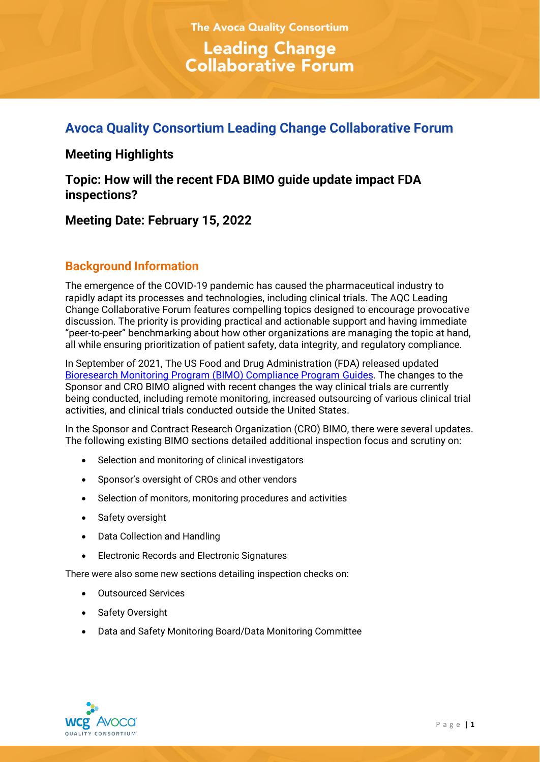# **The Avoca Quality Consortium Leading Change<br>Collaborative Forum**

# **Avoca Quality Consortium Leading Change Collaborative Forum**

# **Meeting Highlights**

**Topic: How will the recent FDA BIMO guide update impact FDA inspections?**

**Meeting Date: February 15, 2022**

# **Background Information**

The emergence of the COVID-19 pandemic has caused the pharmaceutical industry to rapidly adapt its processes and technologies, including clinical trials. The AQC Leading Change Collaborative Forum features compelling topics designed to encourage provocative discussion. The priority is providing practical and actionable support and having immediate "peer-to-peer" benchmarking about how other organizations are managing the topic at hand, all while ensuring prioritization of patient safety, data integrity, and regulatory compliance.

In September of 2021, The US Food and Drug Administration (FDA) released updated [Bioresearch Monitoring Program \(BIMO\) Compliance Program Guides.](https://www.fda.gov/inspections-compliance-enforcement-and-criminal-investigations/compliance-program-manual/bioresearch-monitoring-program-bimo-compliance-programs) The changes to the Sponsor and CRO BIMO aligned with recent changes the way clinical trials are currently being conducted, including remote monitoring, increased outsourcing of various clinical trial activities, and clinical trials conducted outside the United States.

In the Sponsor and Contract Research Organization (CRO) BIMO, there were several updates. The following existing BIMO sections detailed additional inspection focus and scrutiny on:

- Selection and monitoring of clinical investigators
- Sponsor's oversight of CROs and other vendors
- Selection of monitors, monitoring procedures and activities
- Safety oversight
- Data Collection and Handling
- Electronic Records and Electronic Signatures

There were also some new sections detailing inspection checks on:

- Outsourced Services
- Safety Oversight
- Data and Safety Monitoring Board/Data Monitoring Committee

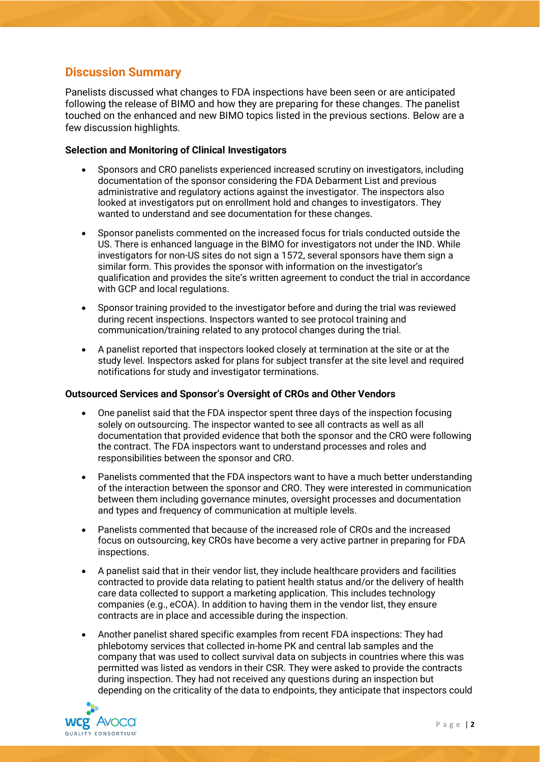# **Discussion Summary**

Panelists discussed what changes to FDA inspections have been seen or are anticipated following the release of BIMO and how they are preparing for these changes. The panelist touched on the enhanced and new BIMO topics listed in the previous sections. Below are a few discussion highlights.

## **Selection and Monitoring of Clinical Investigators**

- Sponsors and CRO panelists experienced increased scrutiny on investigators, including documentation of the sponsor considering the FDA Debarment List and previous administrative and regulatory actions against the investigator. The inspectors also looked at investigators put on enrollment hold and changes to investigators. They wanted to understand and see documentation for these changes.
- Sponsor panelists commented on the increased focus for trials conducted outside the US. There is enhanced language in the BIMO for investigators not under the IND. While investigators for non-US sites do not sign a 1572, several sponsors have them sign a similar form. This provides the sponsor with information on the investigator's qualification and provides the site's written agreement to conduct the trial in accordance with GCP and local regulations.
- Sponsor training provided to the investigator before and during the trial was reviewed during recent inspections. Inspectors wanted to see protocol training and communication/training related to any protocol changes during the trial.
- A panelist reported that inspectors looked closely at termination at the site or at the study level. Inspectors asked for plans for subject transfer at the site level and required notifications for study and investigator terminations.

#### **Outsourced Services and Sponsor's Oversight of CROs and Other Vendors**

- One panelist said that the FDA inspector spent three days of the inspection focusing solely on outsourcing. The inspector wanted to see all contracts as well as all documentation that provided evidence that both the sponsor and the CRO were following the contract. The FDA inspectors want to understand processes and roles and responsibilities between the sponsor and CRO.
- Panelists commented that the FDA inspectors want to have a much better understanding of the interaction between the sponsor and CRO. They were interested in communication between them including governance minutes, oversight processes and documentation and types and frequency of communication at multiple levels.
- Panelists commented that because of the increased role of CROs and the increased focus on outsourcing, key CROs have become a very active partner in preparing for FDA inspections.
- A panelist said that in their vendor list, they include healthcare providers and facilities contracted to provide data relating to patient health status and/or the delivery of health care data collected to support a marketing application. This includes technology companies (e.g., eCOA). In addition to having them in the vendor list, they ensure contracts are in place and accessible during the inspection.
- Another panelist shared specific examples from recent FDA inspections: They had phlebotomy services that collected in-home PK and central lab samples and the company that was used to collect survival data on subjects in countries where this was permitted was listed as vendors in their CSR. They were asked to provide the contracts during inspection. They had not received any questions during an inspection but depending on the criticality of the data to endpoints, they anticipate that inspectors could

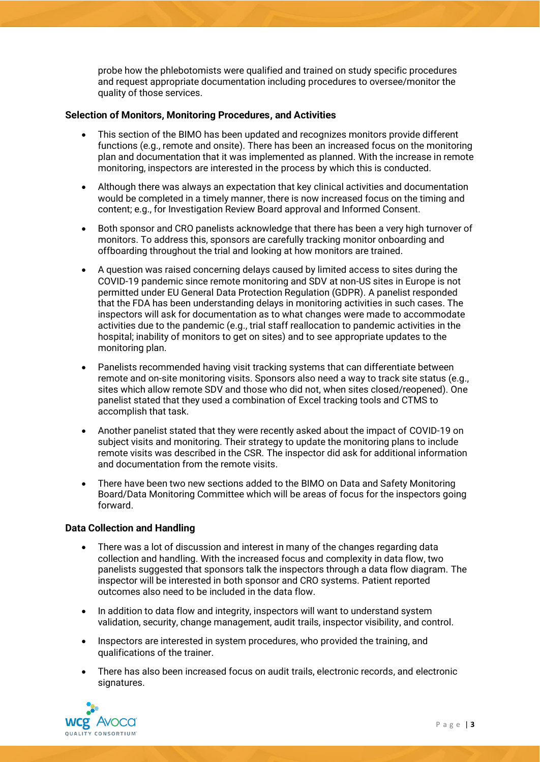probe how the phlebotomists were qualified and trained on study specific procedures and request appropriate documentation including procedures to oversee/monitor the quality of those services.

## **Selection of Monitors, Monitoring Procedures, and Activities**

- This section of the BIMO has been updated and recognizes monitors provide different functions (e.g., remote and onsite). There has been an increased focus on the monitoring plan and documentation that it was implemented as planned. With the increase in remote monitoring, inspectors are interested in the process by which this is conducted.
- Although there was always an expectation that key clinical activities and documentation would be completed in a timely manner, there is now increased focus on the timing and content; e.g., for Investigation Review Board approval and Informed Consent.
- Both sponsor and CRO panelists acknowledge that there has been a very high turnover of monitors. To address this, sponsors are carefully tracking monitor onboarding and offboarding throughout the trial and looking at how monitors are trained.
- A question was raised concerning delays caused by limited access to sites during the COVID-19 pandemic since remote monitoring and SDV at non-US sites in Europe is not permitted under EU General Data Protection Regulation (GDPR). A panelist responded that the FDA has been understanding delays in monitoring activities in such cases. The inspectors will ask for documentation as to what changes were made to accommodate activities due to the pandemic (e.g., trial staff reallocation to pandemic activities in the hospital; inability of monitors to get on sites) and to see appropriate updates to the monitoring plan.
- Panelists recommended having visit tracking systems that can differentiate between remote and on-site monitoring visits. Sponsors also need a way to track site status (e.g., sites which allow remote SDV and those who did not, when sites closed/reopened). One panelist stated that they used a combination of Excel tracking tools and CTMS to accomplish that task.
- Another panelist stated that they were recently asked about the impact of COVID-19 on subject visits and monitoring. Their strategy to update the monitoring plans to include remote visits was described in the CSR. The inspector did ask for additional information and documentation from the remote visits.
- There have been two new sections added to the BIMO on Data and Safety Monitoring Board/Data Monitoring Committee which will be areas of focus for the inspectors going forward.

#### **Data Collection and Handling**

- There was a lot of discussion and interest in many of the changes regarding data collection and handling. With the increased focus and complexity in data flow, two panelists suggested that sponsors talk the inspectors through a data flow diagram. The inspector will be interested in both sponsor and CRO systems. Patient reported outcomes also need to be included in the data flow.
- In addition to data flow and integrity, inspectors will want to understand system validation, security, change management, audit trails, inspector visibility, and control.
- Inspectors are interested in system procedures, who provided the training, and qualifications of the trainer.
- There has also been increased focus on audit trails, electronic records, and electronic signatures.